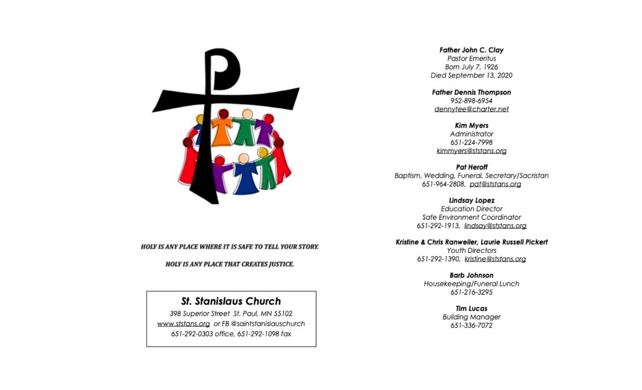

#### **HOLY IS ANY PLACE WHERE IT IS SAFE TO TELL YOUR STORY.**

#### **HOLY IS ANY PLACE THAT CREATES JUSTICE.**

# **St. Stanislaus Church**

398 Superior Street St. Paul, MN 55102 www.ststans.org or FB @saintstanislauschurch 651-292-0303 office, 651-292-1098 fax

#### Father John C. Clay

**Pastor Emeritus** Born July 7, 1926 Died September 13, 2020

**Father Dennis Thompson** 952-898-6954 dennytee@charter.net

**Kim Myers** 

Administrator 651-224-7998 kimmyers@ststans.org

**Pat Heroff** Baptism, Wedding, Funeral, Secretary/Sacristan 651-964-2808, pat@ststans.org

> **Lindsay Lopez Education Director** Safe Environment Coordinator 651-292-1913, lindsay@ststans.org

### Kristine & Chris Ranweiler, Laurie Russell Pickert

**Youth Directors** 651-292-1390, kristine@ststans.org

**Barb Johnson** Housekeeping/Funeral Lunch 651-216-3295

> **Tim Lucas Building Manager** 651-336-7072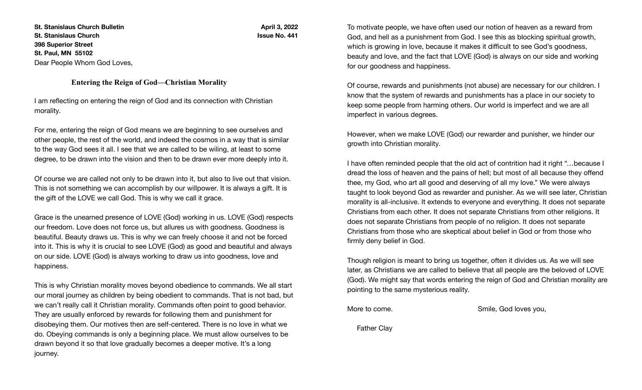**St. Stanislaus Church Bulletin St. Stanislaus Church 398 Superior Street St. Paul, MN 55102** Dear People Whom God Loves,

**April 3, 2022 Issue No. 441**

#### **Entering the Reign of God—Christian Morality**

I am reflecting on entering the reign of God and its connection with Christian morality.

For me, entering the reign of God means we are beginning to see ourselves and other people, the rest of the world, and indeed the cosmos in a way that is similar to the way God sees it all. I see that we are called to be wiling, at least to some degree, to be drawn into the vision and then to be drawn ever more deeply into it.

Of course we are called not only to be drawn into it, but also to live out that vision. This is not something we can accomplish by our willpower. It is always a gift. It is the gift of the LOVE we call God. This is why we call it grace.

Grace is the unearned presence of LOVE (God) working in us. LOVE (God) respects our freedom. Love does not force us, but allures us with goodness. Goodness is beautiful. Beauty draws us. This is why we can freely choose it and not be forced into it. This is why it is crucial to see LOVE (God) as good and beautiful and always on our side. LOVE (God) is always working to draw us into goodness, love and happiness.

This is why Christian morality moves beyond obedience to commands. We all start our moral journey as children by being obedient to commands. That is not bad, but we can't really call it Christian morality. Commands often point to good behavior. They are usually enforced by rewards for following them and punishment for disobeying them. Our motives then are self-centered. There is no love in what we do. Obeying commands is only a beginning place. We must allow ourselves to be drawn beyond it so that love gradually becomes a deeper motive. It's a long journey.

To motivate people, we have often used our notion of heaven as a reward from God, and hell as a punishment from God. I see this as blocking spiritual growth, which is growing in love, because it makes it difficult to see God's goodness, beauty and love, and the fact that LOVE (God) is always on our side and working for our goodness and happiness.

Of course, rewards and punishments (not abuse) are necessary for our children. I know that the system of rewards and punishments has a place in our society to keep some people from harming others. Our world is imperfect and we are all imperfect in various degrees.

However, when we make LOVE (God) our rewarder and punisher, we hinder our growth into Christian morality.

I have often reminded people that the old act of contrition had it right "…because I dread the loss of heaven and the pains of hell; but most of all because they offend thee, my God, who art all good and deserving of all my love." We were always taught to look beyond God as rewarder and punisher. As we will see later, Christian morality is all-inclusive. It extends to everyone and everything. It does not separate Christians from each other. It does not separate Christians from other religions. It does not separate Christians from people of no religion. It does not separate Christians from those who are skeptical about belief in God or from those who firmly deny belief in God.

Though religion is meant to bring us together, often it divides us. As we will see later, as Christians we are called to believe that all people are the beloved of LOVE (God). We might say that words entering the reign of God and Christian morality are pointing to the same mysterious reality.

More to come.  $\blacksquare$  Smile, God loves you,

Father Clay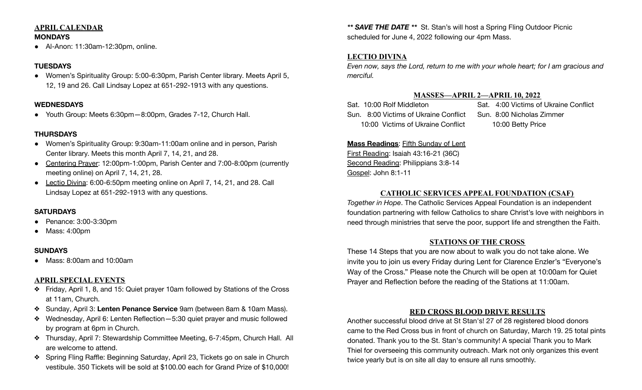# **APRIL CALENDAR**

**MONDAYS**

● Al-Anon: 11:30am-12:30pm, online.

### **TUESDAYS**

● Women's Spirituality Group: 5:00-6:30pm, Parish Center library. Meets April 5, 12, 19 and 26. Call Lindsay Lopez at 651-292-1913 with any questions.

### **WEDNESDAYS**

● Youth Group: Meets 6:30pm—8:00pm, Grades 7-12, Church Hall.

# **THURSDAYS**

- Women's Spirituality Group: 9:30am-11:00am online and in person, Parish Center library. Meets this month April 7, 14, 21, and 28.
- Centering Prayer: 12:00pm-1:00pm, Parish Center and 7:00-8:00pm (currently meeting online) on April 7, 14, 21, 28.
- Lectio Divina: 6:00-6:50pm meeting online on April 7, 14, 21, and 28. Call Lindsay Lopez at 651-292-1913 with any questions.

# **SATURDAYS**

- Penance: 3:00-3:30pm
- Mass: 4:00pm

# **SUNDAYS**

● Mass: 8:00am and 10:00am

# **APRIL SPECIAL EVENTS**

- ❖ Friday, April 1, 8, and 15: Quiet prayer 10am followed by Stations of the Cross at 11am, Church.
- ❖ Sunday, April 3: **Lenten Penance Service** 9am (between 8am & 10am Mass).
- ❖ Wednesday, April 6: Lenten Reflection—5:30 quiet prayer and music followed by program at 6pm in Church.
- ❖ Thursday, April 7: Stewardship Committee Meeting, 6-7:45pm, Church Hall. All are welcome to attend.
- ❖ Spring Fling Raffle: Beginning Saturday, April 23, Tickets go on sale in Church vestibule. 350 Tickets will be sold at \$100.00 each for Grand Prize of \$10,000!

*\*\* SAVE THE DATE \*\** St. Stan's will host a Spring Fling Outdoor Picnic scheduled for June 4, 2022 following our 4pm Mass.

# **LECTIO DIVINA**

*Even now, says the Lord, return to me with your whole heart; for I am gracious and merciful.*

# **MASSES—APRIL 2—APRIL 10, 2022**

Sat. 10:00 Rolf Middleton Sat. 4:00 Victims of Ukraine Conflict Sun. 8:00 Victims of Ukraine Conflict Sun. 8:00 Nicholas Zimmer 10:00 Victims of Ukraine Conflict 10:00 Betty Price

# **Mass Readings**: Fifth Sunday of Lent

First Reading: Isaiah 43:16-21 (36C) Second Reading: Philippians 3:8-14 Gospel: John 8:1-11

# **CATHOLIC SERVICES APPEAL FOUNDATION (CSAF)**

*Together in Hope*. The Catholic Services Appeal Foundation is an independent foundation partnering with fellow Catholics to share Christ's love with neighbors in need through ministries that serve the poor, support life and strengthen the Faith.

# **STATIONS OF THE CROSS**

These 14 Steps that you are now about to walk you do not take alone. We invite you to join us every Friday during Lent for Clarence Enzler's "Everyone's Way of the Cross." Please note the Church will be open at 10:00am for Quiet Prayer and Reflection before the reading of the Stations at 11:00am.

# **RED CROSS BLOOD DRIVE RESULTS**

Another successful blood drive at St Stan's! 27 of 28 registered blood donors came to the Red Cross bus in front of church on Saturday, March 19. 25 total pints donated. Thank you to the St. Stan's community! A special Thank you to Mark Thiel for overseeing this community outreach. Mark not only organizes this event twice yearly but is on site all day to ensure all runs smoothly.